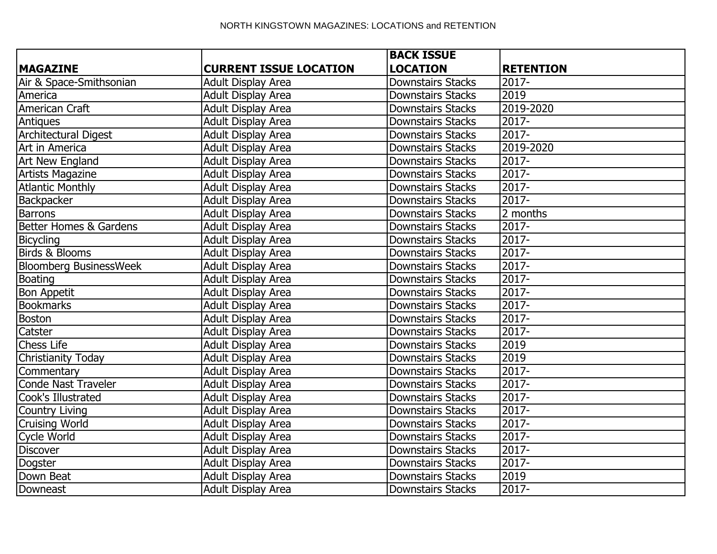|                               |                               | <b>BACK ISSUE</b>        |                  |
|-------------------------------|-------------------------------|--------------------------|------------------|
| <b>MAGAZINE</b>               | <b>CURRENT ISSUE LOCATION</b> | <b>LOCATION</b>          | <b>RETENTION</b> |
| Air & Space-Smithsonian       | Adult Display Area            | <b>Downstairs Stacks</b> | 2017-            |
| America                       | Adult Display Area            | <b>Downstairs Stacks</b> | 2019             |
| American Craft                | <b>Adult Display Area</b>     | <b>Downstairs Stacks</b> | 2019-2020        |
| Antiques                      | <b>Adult Display Area</b>     | <b>Downstairs Stacks</b> | 2017-            |
| <b>Architectural Digest</b>   | <b>Adult Display Area</b>     | <b>Downstairs Stacks</b> | 2017-            |
| Art in America                | Adult Display Area            | <b>Downstairs Stacks</b> | 2019-2020        |
| <b>Art New England</b>        | Adult Display Area            | <b>Downstairs Stacks</b> | $2017 -$         |
| <b>Artists Magazine</b>       | <b>Adult Display Area</b>     | <b>Downstairs Stacks</b> | 2017-            |
| <b>Atlantic Monthly</b>       | <b>Adult Display Area</b>     | <b>Downstairs Stacks</b> | 2017-            |
| Backpacker                    | Adult Display Area            | <b>Downstairs Stacks</b> | $2017 -$         |
| <b>Barrons</b>                | <b>Adult Display Area</b>     | <b>Downstairs Stacks</b> | 2 months         |
| Better Homes & Gardens        | Adult Display Area            | <b>Downstairs Stacks</b> | $2017 -$         |
| Bicycling                     | <b>Adult Display Area</b>     | <b>Downstairs Stacks</b> | 2017-            |
| <b>Birds &amp; Blooms</b>     | Adult Display Area            | <b>Downstairs Stacks</b> | $2017 -$         |
| <b>Bloomberg BusinessWeek</b> | <b>Adult Display Area</b>     | <b>Downstairs Stacks</b> | 2017-            |
| Boating                       | <b>Adult Display Area</b>     | <b>Downstairs Stacks</b> | $2017 -$         |
| <b>Bon Appetit</b>            | Adult Display Area            | <b>Downstairs Stacks</b> | $2017 -$         |
| <b>Bookmarks</b>              | Adult Display Area            | <b>Downstairs Stacks</b> | $2017 -$         |
| <b>Boston</b>                 | <b>Adult Display Area</b>     | <b>Downstairs Stacks</b> | 2017-            |
| Catster                       | Adult Display Area            | <b>Downstairs Stacks</b> | 2017-            |
| Chess Life                    | Adult Display Area            | Downstairs Stacks        | 2019             |
| <b>Christianity Today</b>     | Adult Display Area            | <b>Downstairs Stacks</b> | 2019             |
| Commentary                    | Adult Display Area            | <b>Downstairs Stacks</b> | $2017 -$         |
| Conde Nast Traveler           | <b>Adult Display Area</b>     | <b>Downstairs Stacks</b> | $2017 -$         |
| Cook's Illustrated            | <b>Adult Display Area</b>     | <b>Downstairs Stacks</b> | $2017 -$         |
| <b>Country Living</b>         | Adult Display Area            | <b>Downstairs Stacks</b> | 2017-            |
| <b>Cruising World</b>         | <b>Adult Display Area</b>     | <b>Downstairs Stacks</b> | $2017 -$         |
| Cycle World                   | <b>Adult Display Area</b>     | <b>Downstairs Stacks</b> | $2017 -$         |
| <b>Discover</b>               | Adult Display Area            | <b>Downstairs Stacks</b> | $2017 -$         |
| <b>Dogster</b>                | <b>Adult Display Area</b>     | <b>Downstairs Stacks</b> | $2017 -$         |
| Down Beat                     | <b>Adult Display Area</b>     | <b>Downstairs Stacks</b> | 2019             |
| Downeast                      | Adult Display Area            | <b>Downstairs Stacks</b> | 2017-            |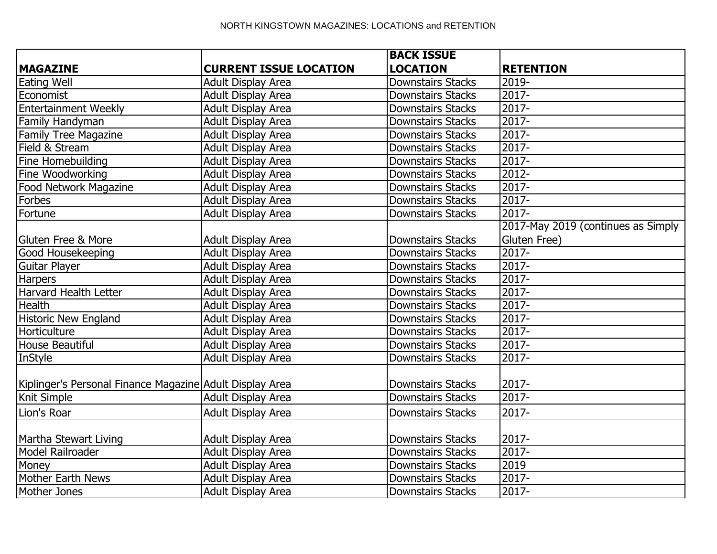|                                                          |                               | <b>BACK ISSUE</b>        |                                    |
|----------------------------------------------------------|-------------------------------|--------------------------|------------------------------------|
| <b>MAGAZINE</b>                                          | <b>CURRENT ISSUE LOCATION</b> | <b>LOCATION</b>          | <b>RETENTION</b>                   |
| Eating Well                                              | Adult Display Area            | <b>Downstairs Stacks</b> | 2019-                              |
| Economist                                                | Adult Display Area            | <b>Downstairs Stacks</b> | $2017 -$                           |
| <b>Entertainment Weekly</b>                              | Adult Display Area            | <b>Downstairs Stacks</b> | $2017 -$                           |
| Family Handyman                                          | <b>Adult Display Area</b>     | <b>Downstairs Stacks</b> | 2017-                              |
| <b>Family Tree Magazine</b>                              | Adult Display Area            | <b>Downstairs Stacks</b> | 2017-                              |
| Field & Stream                                           | Adult Display Area            | Downstairs Stacks        | $2017 -$                           |
| Fine Homebuilding                                        | <b>Adult Display Area</b>     | <b>Downstairs Stacks</b> | $2017 -$                           |
| Fine Woodworking                                         | <b>Adult Display Area</b>     | <b>Downstairs Stacks</b> | $2012 -$                           |
| Food Network Magazine                                    | <b>Adult Display Area</b>     | <b>Downstairs Stacks</b> | $2017 -$                           |
| Forbes                                                   | <b>Adult Display Area</b>     | <b>Downstairs Stacks</b> | $2017 -$                           |
| Fortune                                                  | <b>Adult Display Area</b>     | Downstairs Stacks        | $2017 -$                           |
|                                                          |                               |                          | 2017-May 2019 (continues as Simply |
| Gluten Free & More                                       | <b>Adult Display Area</b>     | <b>Downstairs Stacks</b> | Gluten Free)                       |
| Good Housekeeping                                        | <b>Adult Display Area</b>     | <b>Downstairs Stacks</b> | $2017 -$                           |
| Guitar Player                                            | <b>Adult Display Area</b>     | <b>Downstairs Stacks</b> | $2017 -$                           |
| <b>Harpers</b>                                           | <b>Adult Display Area</b>     | <b>Downstairs Stacks</b> | 2017-                              |
| Harvard Health Letter                                    | <b>Adult Display Area</b>     | <b>Downstairs Stacks</b> | $2017 -$                           |
| <b>Health</b>                                            | <b>Adult Display Area</b>     | <b>Downstairs Stacks</b> | $2017 -$                           |
| <b>Historic New England</b>                              | Adult Display Area            | <b>Downstairs Stacks</b> | $2017 -$                           |
| Horticulture                                             | <b>Adult Display Area</b>     | <b>Downstairs Stacks</b> | $2017 -$                           |
| <b>House Beautiful</b>                                   | <b>Adult Display Area</b>     | <b>Downstairs Stacks</b> | $2017 -$                           |
| InStyle                                                  | <b>Adult Display Area</b>     | <b>Downstairs Stacks</b> | 2017-                              |
|                                                          |                               |                          |                                    |
| Kiplinger's Personal Finance Magazine Adult Display Area |                               | <b>Downstairs Stacks</b> | 2017-                              |
| Knit Simple                                              | Adult Display Area            | <b>Downstairs Stacks</b> | $2017 -$                           |
| Lion's Roar                                              | <b>Adult Display Area</b>     | <b>Downstairs Stacks</b> | 2017-                              |
| Martha Stewart Living                                    | Adult Display Area            | <b>Downstairs Stacks</b> | 2017-                              |
| Model Railroader                                         | <b>Adult Display Area</b>     | <b>Downstairs Stacks</b> | $2017 -$                           |
| Money                                                    | <b>Adult Display Area</b>     | <b>Downstairs Stacks</b> | 2019                               |
| Mother Earth News                                        | Adult Display Area            | <b>Downstairs Stacks</b> | 2017-                              |
| Mother Jones                                             | Adult Display Area            | Downstairs Stacks        | 2017-                              |
|                                                          |                               |                          |                                    |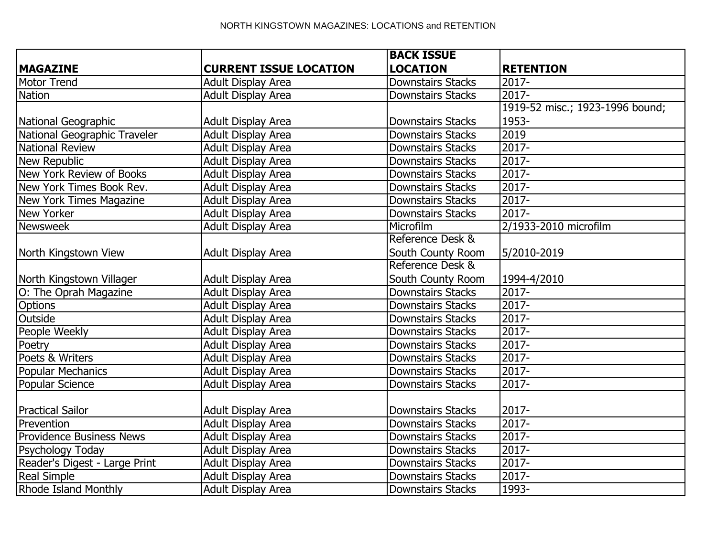|                                 |                               | <b>BACK ISSUE</b>        |                                 |
|---------------------------------|-------------------------------|--------------------------|---------------------------------|
| <b>MAGAZINE</b>                 | <b>CURRENT ISSUE LOCATION</b> | <b>LOCATION</b>          | <b>RETENTION</b>                |
| Motor Trend                     | <b>Adult Display Area</b>     | <b>Downstairs Stacks</b> | 2017-                           |
| <b>Nation</b>                   | <b>Adult Display Area</b>     | <b>Downstairs Stacks</b> | $2017 -$                        |
|                                 |                               |                          | 1919-52 misc.; 1923-1996 bound; |
| National Geographic             | Adult Display Area            | <b>Downstairs Stacks</b> | 1953-                           |
| National Geographic Traveler    | <b>Adult Display Area</b>     | <b>Downstairs Stacks</b> | 2019                            |
| National Review                 | <b>Adult Display Area</b>     | <b>Downstairs Stacks</b> | $2017 -$                        |
| New Republic                    | <b>Adult Display Area</b>     | <b>Downstairs Stacks</b> | $2017 -$                        |
| New York Review of Books        | <b>Adult Display Area</b>     | <b>Downstairs Stacks</b> | $2017 -$                        |
| New York Times Book Rev.        | <b>Adult Display Area</b>     | <b>Downstairs Stacks</b> | $2017 -$                        |
| New York Times Magazine         | <b>Adult Display Area</b>     | <b>Downstairs Stacks</b> | $2017 -$                        |
| <b>New Yorker</b>               | Adult Display Area            | <b>Downstairs Stacks</b> | $2017 -$                        |
| Newsweek                        | <b>Adult Display Area</b>     | Microfilm                | 2/1933-2010 microfilm           |
|                                 |                               | Reference Desk &         |                                 |
| North Kingstown View            | Adult Display Area            | South County Room        | 5/2010-2019                     |
|                                 |                               | Reference Desk &         |                                 |
| North Kingstown Villager        | <b>Adult Display Area</b>     | South County Room        | 1994-4/2010                     |
| O: The Oprah Magazine           | <b>Adult Display Area</b>     | <b>Downstairs Stacks</b> | $2017 -$                        |
| <b>Options</b>                  | Adult Display Area            | <b>Downstairs Stacks</b> | $2017 -$                        |
| Outside                         | <b>Adult Display Area</b>     | <b>Downstairs Stacks</b> | $2017 -$                        |
| People Weekly                   | <b>Adult Display Area</b>     | <b>Downstairs Stacks</b> | 2017-                           |
| Poetry                          | Adult Display Area            | <b>Downstairs Stacks</b> | $2017 -$                        |
| Poets & Writers                 | Adult Display Area            | <b>Downstairs Stacks</b> | $2017 -$                        |
| <b>Popular Mechanics</b>        | Adult Display Area            | <b>Downstairs Stacks</b> | $2017 -$                        |
| Popular Science                 | <b>Adult Display Area</b>     | <b>Downstairs Stacks</b> | $\overline{2017}$               |
|                                 |                               |                          |                                 |
| Practical Sailor                | Adult Display Area            | <b>Downstairs Stacks</b> | $2017 -$                        |
| Prevention                      | <b>Adult Display Area</b>     | <b>Downstairs Stacks</b> | $2017 -$                        |
| <b>Providence Business News</b> | <b>Adult Display Area</b>     | <b>Downstairs Stacks</b> | $2017 -$                        |
| Psychology Today                | <b>Adult Display Area</b>     | <b>Downstairs Stacks</b> | $2017 -$                        |
| Reader's Digest - Large Print   | <b>Adult Display Area</b>     | <b>Downstairs Stacks</b> | 2017-                           |
| <b>Real Simple</b>              | <b>Adult Display Area</b>     | <b>Downstairs Stacks</b> | 2017-                           |
| Rhode Island Monthly            | <b>Adult Display Area</b>     | <b>Downstairs Stacks</b> | 1993-                           |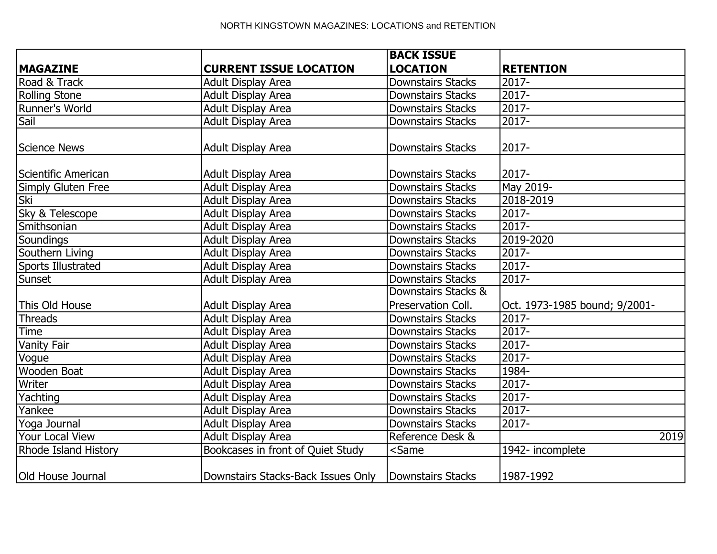|                             |                                    | <b>BACK ISSUE</b>                              |                               |
|-----------------------------|------------------------------------|------------------------------------------------|-------------------------------|
| <b>MAGAZINE</b>             | <b>CURRENT ISSUE LOCATION</b>      | <b>LOCATION</b>                                | <b>RETENTION</b>              |
| Road & Track                | <b>Adult Display Area</b>          | <b>Downstairs Stacks</b>                       | 2017-                         |
| <b>Rolling Stone</b>        | <b>Adult Display Area</b>          | <b>Downstairs Stacks</b>                       | $2017 -$                      |
| Runner's World              | <b>Adult Display Area</b>          | <b>Downstairs Stacks</b>                       | 2017-                         |
| Sail                        | <b>Adult Display Area</b>          | <b>Downstairs Stacks</b>                       | 2017-                         |
| Science News                | Adult Display Area                 | <b>Downstairs Stacks</b>                       | 2017-                         |
| Scientific American         | Adult Display Area                 | <b>Downstairs Stacks</b>                       | 2017-                         |
| Simply Gluten Free          | <b>Adult Display Area</b>          | <b>Downstairs Stacks</b>                       | May 2019-                     |
| Ski                         | <b>Adult Display Area</b>          | <b>Downstairs Stacks</b>                       | 2018-2019                     |
| Sky & Telescope             | <b>Adult Display Area</b>          | <b>Downstairs Stacks</b>                       | 2017-                         |
| Smithsonian                 | <b>Adult Display Area</b>          | <b>Downstairs Stacks</b>                       | $2017 -$                      |
| Soundings                   | <b>Adult Display Area</b>          | <b>Downstairs Stacks</b>                       | 2019-2020                     |
| Southern Living             | <b>Adult Display Area</b>          | <b>Downstairs Stacks</b>                       | $2017 -$                      |
| Sports Illustrated          | <b>Adult Display Area</b>          | <b>Downstairs Stacks</b>                       | 2017-                         |
| Sunset                      | <b>Adult Display Area</b>          | <b>Downstairs Stacks</b>                       | 2017-                         |
|                             |                                    | Downstairs Stacks &                            |                               |
| This Old House              | Adult Display Area                 | Preservation Coll.                             | Oct. 1973-1985 bound; 9/2001- |
| Threads                     | <b>Adult Display Area</b>          | <b>Downstairs Stacks</b>                       | 2017-                         |
| <b>Time</b>                 | <b>Adult Display Area</b>          | <b>Downstairs Stacks</b>                       | $2017 -$                      |
| Vanity Fair                 | <b>Adult Display Area</b>          | <b>Downstairs Stacks</b>                       | $2017 -$                      |
| Vogue                       | <b>Adult Display Area</b>          | <b>Downstairs Stacks</b>                       | $2017 -$                      |
| Wooden Boat                 | <b>Adult Display Area</b>          | <b>Downstairs Stacks</b>                       | 1984-                         |
| Writer                      | Adult Display Area                 | <b>Downstairs Stacks</b>                       | $2017 -$                      |
| Yachting                    | <b>Adult Display Area</b>          | <b>Downstairs Stacks</b>                       | $2017 -$                      |
| Yankee                      | <b>Adult Display Area</b>          | <b>Downstairs Stacks</b>                       | 2017-                         |
| Yoga Journal                | Adult Display Area                 | <b>Downstairs Stacks</b>                       | 2017-                         |
| Your Local View             | Adult Display Area                 | Reference Desk &                               | 2019                          |
| <b>Rhode Island History</b> | Bookcases in front of Quiet Study  | <same< td=""><td>1942- incomplete</td></same<> | 1942- incomplete              |
| <b>Old House Journal</b>    | Downstairs Stacks-Back Issues Only | Downstairs Stacks                              | 1987-1992                     |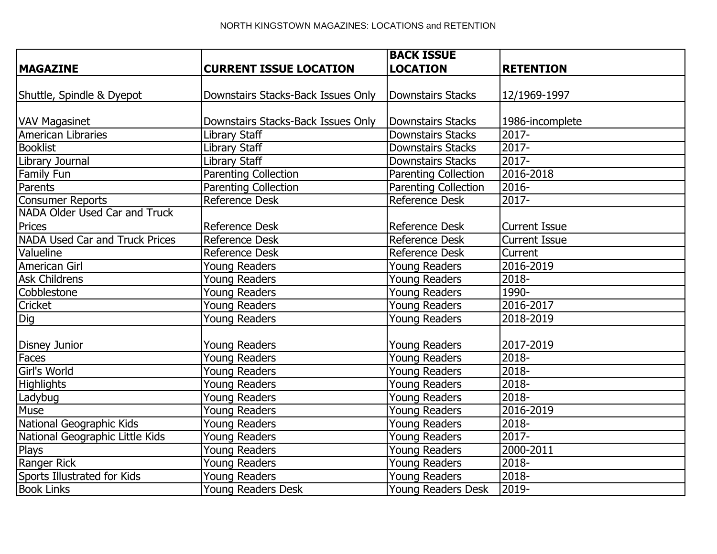|                                 |                                    | <b>BACK ISSUE</b>           |                      |  |
|---------------------------------|------------------------------------|-----------------------------|----------------------|--|
| <b>MAGAZINE</b>                 | <b>CURRENT ISSUE LOCATION</b>      | <b>LOCATION</b>             | <b>RETENTION</b>     |  |
|                                 |                                    |                             |                      |  |
| Shuttle, Spindle & Dyepot       | Downstairs Stacks-Back Issues Only | <b>Downstairs Stacks</b>    | 12/1969-1997         |  |
|                                 |                                    |                             |                      |  |
| <b>VAV Magasinet</b>            | Downstairs Stacks-Back Issues Only | <b>Downstairs Stacks</b>    | 1986-incomplete      |  |
| American Libraries              | Library Staff                      | <b>Downstairs Stacks</b>    | $2017 -$             |  |
| <b>Booklist</b>                 | Library Staff                      | <b>Downstairs Stacks</b>    | $2017 -$             |  |
| Library Journal                 | Library Staff                      | <b>Downstairs Stacks</b>    | $2017 -$             |  |
| <b>Family Fun</b>               | <b>Parenting Collection</b>        | <b>Parenting Collection</b> | 2016-2018            |  |
| Parents                         | <b>Parenting Collection</b>        | <b>Parenting Collection</b> | 2016-                |  |
| Consumer Reports                | <b>Reference Desk</b>              | <b>Reference Desk</b>       | $\overline{2017}$ -  |  |
| NADA Older Used Car and Truck   |                                    |                             |                      |  |
| Prices                          | <b>Reference Desk</b>              | <b>Reference Desk</b>       | <b>Current Issue</b> |  |
| NADA Used Car and Truck Prices  | <b>Reference Desk</b>              | <b>Reference Desk</b>       | <b>Current Issue</b> |  |
| Valueline                       | Reference Desk                     | <b>Reference Desk</b>       | Current              |  |
| American Girl                   | Young Readers                      | Young Readers               | 2016-2019            |  |
| <b>Ask Childrens</b>            | <b>Young Readers</b>               | <b>Young Readers</b>        | 2018-                |  |
| Cobblestone                     | <b>Young Readers</b>               | <b>Young Readers</b>        | 1990-                |  |
| Cricket                         | Young Readers                      | Young Readers               | 2016-2017            |  |
| $\overline{Dig}$                | <b>Young Readers</b>               | <b>Young Readers</b>        | 2018-2019            |  |
|                                 |                                    |                             |                      |  |
| Disney Junior                   | <b>Young Readers</b>               | <b>Young Readers</b>        | 2017-2019            |  |
| Faces                           | <b>Young Readers</b>               | <b>Young Readers</b>        | $2018 -$             |  |
| Girl's World                    | <b>Young Readers</b>               | Young Readers               | $2018 -$             |  |
| <b>Highlights</b>               | <b>Young Readers</b>               | <b>Young Readers</b>        | $2018 -$             |  |
| Ladybug                         | Young Readers                      | Young Readers               | 2018-                |  |
| Muse                            | <b>Young Readers</b>               | Young Readers               | 2016-2019            |  |
| National Geographic Kids        | Young Readers                      | <b>Young Readers</b>        | 2018-                |  |
| National Geographic Little Kids | Young Readers                      | Young Readers               | $2017 -$             |  |
| <b>Plays</b>                    | <b>Young Readers</b>               | Young Readers               | 2000-2011            |  |
| Ranger Rick                     | Young Readers                      | Young Readers               | 2018-                |  |
| Sports Illustrated for Kids     | <b>Young Readers</b>               | Young Readers               | 2018-                |  |
| <b>Book Links</b>               | <b>Young Readers Desk</b>          | Young Readers Desk          | 2019-                |  |
|                                 |                                    |                             |                      |  |